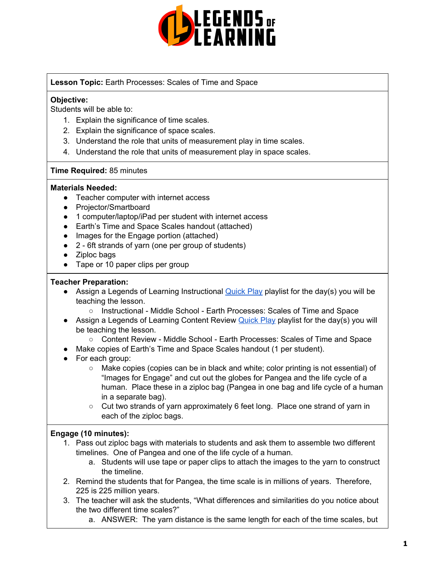

## **Lesson Topic:** Earth Processes: Scales of Time and Space

#### **Objective:**

Students will be able to:

- 1. Explain the significance of time scales.
- 2. Explain the significance of space scales.
- 3. Understand the role that units of measurement play in time scales.
- 4. Understand the role that units of measurement play in space scales.

#### **Time Required:** 85 minutes

#### **Materials Needed:**

- Teacher computer with internet access
- Projector/Smartboard
- 1 computer/laptop/iPad per student with internet access
- Earth's Time and Space Scales handout (attached)
- Images for the Engage portion (attached)
- 2 6ft strands of yarn (one per group of students)
- Ziploc bags
- Tape or 10 paper clips per group

#### **Teacher Preparation:**

- **•** Assign a Legends of Learning Instructional [Quick](https://intercom.help/legends-of-learning/en/articles/2701866-assigning-a-quick-play-playlist) Play playlist for the day(s) you will be teaching the lesson.
	- o Instructional Middle School Earth Processes: Scales of Time and Space
- Assign a Legends of Learning Content Review [Quick](https://intercom.help/legends-of-learning/en/articles/2701866-assigning-a-quick-play-playlist) Play playlist for the day(s) you will be teaching the lesson.
	- Content Review Middle School Earth Processes: Scales of Time and Space
- Make copies of Earth's Time and Space Scales handout (1 per student).
- For each group:
	- Make copies (copies can be in black and white; color printing is not essential) of "Images for Engage" and cut out the globes for Pangea and the life cycle of a human. Place these in a ziploc bag (Pangea in one bag and life cycle of a human in a separate bag).
	- Cut two strands of yarn approximately 6 feet long. Place one strand of yarn in each of the ziploc bags.

# **Engage (10 minutes):**

- 1. Pass out ziploc bags with materials to students and ask them to assemble two different timelines. One of Pangea and one of the life cycle of a human.
	- a. Students will use tape or paper clips to attach the images to the yarn to construct the timeline.
- 2. Remind the students that for Pangea, the time scale is in millions of years. Therefore, 225 is 225 million years.
- 3. The teacher will ask the students, "What differences and similarities do you notice about the two different time scales?"
	- a. ANSWER: The yarn distance is the same length for each of the time scales, but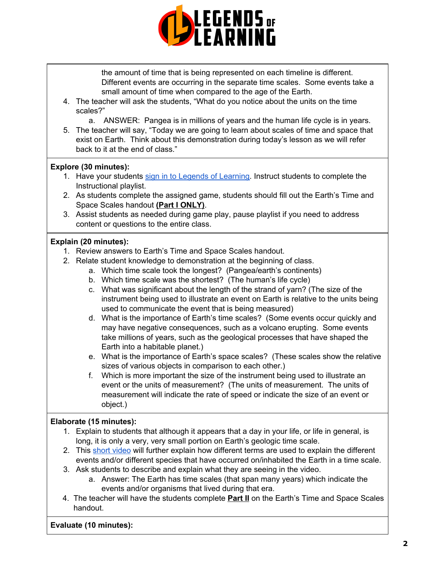

the amount of time that is being represented on each timeline is different. Different events are occurring in the separate time scales. Some events take a small amount of time when compared to the age of the Earth.

- 4. The teacher will ask the students, "What do you notice about the units on the time scales?"
	- a. ANSWER: Pangea is in millions of years and the human life cycle is in years.
- 5. The teacher will say, "Today we are going to learn about scales of time and space that exist on Earth. Think about this demonstration during today's lesson as we will refer back to it at the end of class."

## **Explore (30 minutes):**

- 1. Have your students sign in to Legends of [Learning](https://intercom.help/legends-of-learning/en/articles/2154920-students-joining-a-playlist). Instruct students to complete the Instructional playlist.
- 2. As students complete the assigned game, students should fill out the Earth's Time and Space Scales handout **(Part I ONLY)**.
- 3. Assist students as needed during game play, pause playlist if you need to address content or questions to the entire class.

## **Explain (20 minutes):**

- 1. Review answers to Earth's Time and Space Scales handout.
- 2. Relate student knowledge to demonstration at the beginning of class.
	- a. Which time scale took the longest? (Pangea/earth's continents)
	- b. Which time scale was the shortest? (The human's life cycle)
	- c. What was significant about the length of the strand of yarn? (The size of the instrument being used to illustrate an event on Earth is relative to the units being used to communicate the event that is being measured)
	- d. What is the importance of Earth's time scales? (Some events occur quickly and may have negative consequences, such as a volcano erupting. Some events take millions of years, such as the geological processes that have shaped the Earth into a habitable planet.)
	- e. What is the importance of Earth's space scales? (These scales show the relative sizes of various objects in comparison to each other.)
	- f. Which is more important the size of the instrument being used to illustrate an event or the units of measurement? (The units of measurement. The units of measurement will indicate the rate of speed or indicate the size of an event or object.)

#### **Elaborate (15 minutes):**

- 1. Explain to students that although it appears that a day in your life, or life in general, is long, it is only a very, very small portion on Earth's geologic time scale.
- 2. This short [video](https://www.youtube.com/watch?v=r10oh1NHKv4) will further explain how different terms are used to explain the different events and/or different species that have occurred on/inhabited the Earth in a time scale.
- 3. Ask students to describe and explain what they are seeing in the video.
	- a. Answer: The Earth has time scales (that span many years) which indicate the events and/or organisms that lived during that era.
- 4. The teacher will have the students complete **Part II** on the Earth's Time and Space Scales handout.

**Evaluate (10 minutes):**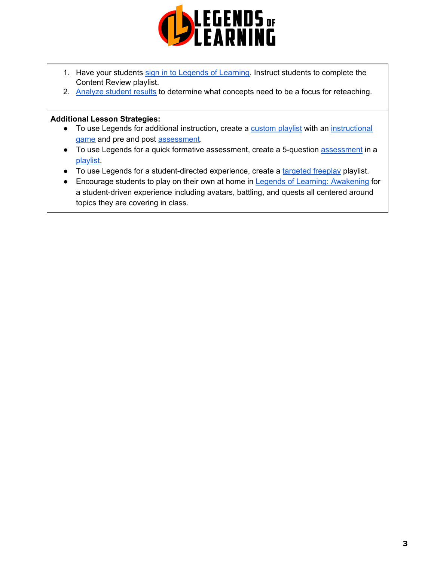

- 1. Have your students sign in to Legends of [Learning](https://intercom.help/legends-of-learning/en/articles/2154920-students-joining-a-playlist). Instruct students to complete the Content Review playlist.
- 2. [Analyze](https://intercom.help/legends-of-learning/en/articles/2154918-tracking-student-progress-and-performance) student results to determine what concepts need to be a focus for reteaching.

## **Additional Lesson Strategies:**

- To use Legends for additional instruction, create a [custom](https://intercom.help/legends-of-learning/en/articles/2154910-creating-a-playlist) playlist with an [instructional](https://intercom.help/legends-of-learning/en/articles/3505828-types-of-games) [game](https://intercom.help/legends-of-learning/en/articles/3505828-types-of-games) and pre and post [assessment](https://intercom.help/legends-of-learning/en/articles/2154913-adding-assessments-to-a-playlist).
- To use Legends for a quick formative [assessment](https://intercom.help/legends-of-learning/en/articles/2154913-adding-assessments-to-a-playlist), create a 5-question assessment in a [playlist.](https://intercom.help/legends-of-learning/en/articles/2154910-creating-a-playlist)
- To use Legends for a student-directed experience, create a [targeted](https://intercom.help/legends-of-learning/en/articles/3340814-targeted-freeplay) freeplay playlist.
- Encourage students to play on their own at home in **Legends of Learning: [Awakening](https://intercom.help/legends-of-learning/en/articles/2425490-legends-of-learning-awakening)** for a student-driven experience including avatars, battling, and quests all centered around topics they are covering in class.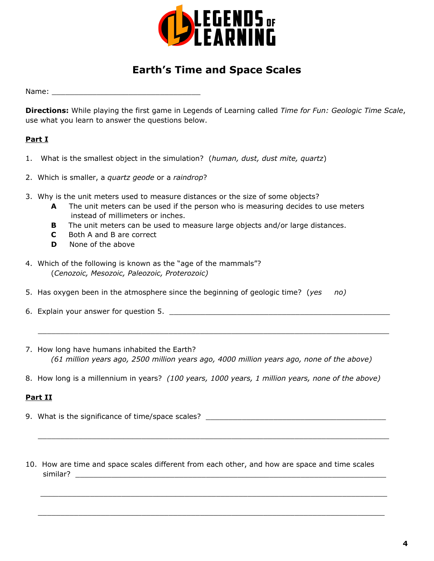

# **Earth's Time and Space Scales**

Name:  $\blacksquare$ 

**Directions:** While playing the first game in Legends of Learning called *Time for Fun: Geologic Time Scale*, use what you learn to answer the questions below.

# **Part I**

- 1. What is the smallest object in the simulation? (*human, dust, dust mite, quartz*)
- 2. Which is smaller, a *quartz geode* or a *raindrop*?
- 3. Why is the unit meters used to measure distances or the size of some objects?
	- **A** The unit meters can be used if the person who is measuring decides to use meters instead of millimeters or inches.
	- **B** The unit meters can be used to measure large objects and/or large distances.
	- **C** Both A and B are correct
	- **D** None of the above
- 4. Which of the following is known as the "age of the mammals"? (*Cenozoic, Mesozoic, Paleozoic, Proterozoic)*
- 5. Has oxygen been in the atmosphere since the beginning of geologic time? (*yes no)*
- 6. Explain your answer for question 5. \_\_\_\_\_\_\_\_\_\_\_\_\_\_\_\_\_\_\_\_\_\_\_\_\_\_\_\_\_\_\_\_\_\_\_\_\_\_\_\_\_\_\_\_\_\_\_\_\_
- 7. How long have humans inhabited the Earth? *(61 million years ago, 2500 million years ago, 4000 million years ago, none of the above)*

 $\_$  , and the set of the set of the set of the set of the set of the set of the set of the set of the set of the set of the set of the set of the set of the set of the set of the set of the set of the set of the set of th

8. How long is a millennium in years? *(100 years, 1000 years, 1 million years, none of the above)*

# **Part II**

9. What is the significance of time/space scales? \_\_\_\_\_\_\_\_\_\_\_\_\_\_\_\_\_\_\_\_\_\_\_\_\_\_\_\_\_\_

 $\_$  , and the set of the set of the set of the set of the set of the set of the set of the set of the set of the set of the set of the set of the set of the set of the set of the set of the set of the set of the set of th

 $\_$  , and the set of the set of the set of the set of the set of the set of the set of the set of the set of the set of the set of the set of the set of the set of the set of the set of the set of the set of the set of th

 $\_$  , and the set of the set of the set of the set of the set of the set of the set of the set of the set of the set of the set of the set of the set of the set of the set of the set of the set of the set of the set of th

10. How are time and space scales different from each other, and how are space and time scales similar?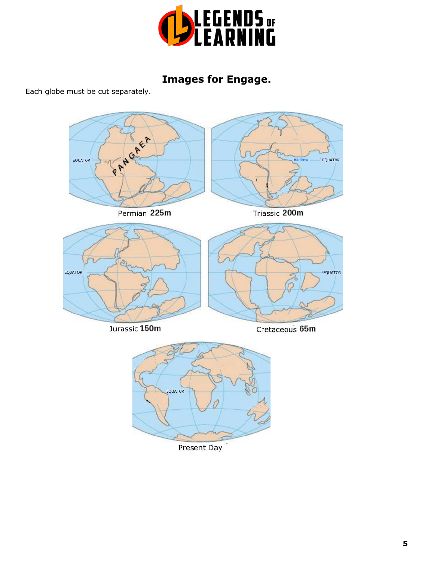

# **Images for Engage.**

Each globe must be cut separately.



Present Day